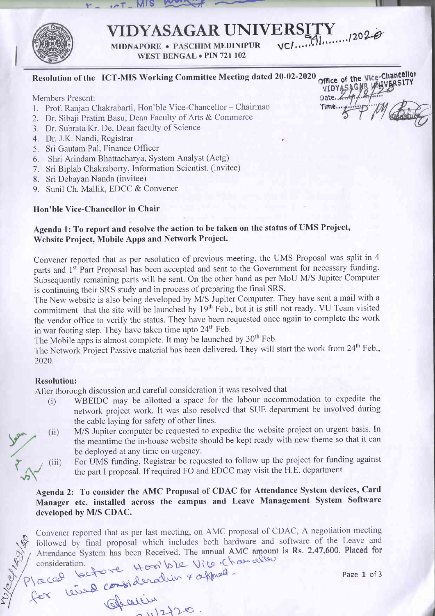

### UNIVERSITY no1,.-b

 $EDINIPUR$   $VCI...I$ 

WEST BENGAL . PIN 721 102

### Resolution of the ICT-MIS Working Committee Meeting dated 20-02-2020 of the Vice-Chancellor<br>CAR UNIVERSITY

Members Present:

1. Prof. Ranjan Chakrabarti, Hon'ble Vice-Chancellor - Chairman

 $r = 1.7$ - MIS Yourself

- 2. Dr. Sibaji Pratim Basu, Dean Faculty of Arts & Commerce
- 3. Dr. Subrata Kr. De, Dean faculty of Science
- 4. Dr. J.K. Nandi, Registrar
- 5. Sri Gautam Pal, Finance Officer
- 6. Shri Arindam Bhattacharya, System Analyst (Actg)
- 7. Sri Biplab Chakraborty, Information Scientist. (invitee)
- 8. Sri Debayan Nanda (invitee)
- 9. Sunil Ch. Mallik. EDCC & Convener

### Hon'ble Vice-Chancellor in Chair

### Agenda l: To report and resolve the action to be taken on the status of UMS Project, Website Project, Mobile Apps and Network Project.

Convener reported that as per resolution of previous meeting, the UMS Proposal was split in <sup>4</sup> parts and 1<sup>st</sup> Part Proposal has been accepted and sent to the Government for necessary funding. Subsequently remaining parts will be sent. On the other hand as per MoU M/S Jupiter Computer is continuing their SRS study and in process of preparing the final SRS.

The New website is also being developed by M/S Jupiter Computer. They have sent a mail with <sup>a</sup> commitment that the site will be launched by 19<sup>th</sup> Feb., but it is still not ready. VU Team visited the vendor office to verify the status. They have been requested once again to complete the work in war footing step. They have taken time upto  $24<sup>th</sup>$  Feb.

The Mobile apps is almost complete. It may be launched by 30<sup>th</sup> Feb.

The Network Project Passive material has been delivered. They will start the work from 24<sup>th</sup> Feb., 2020.

### **Resolution:**

 $(iii)$ 

After thorough discussion and careful consideration it was resolved that

la cad bette : resideration & approximation

 $2420$ 

- (i) WBEIDC may be allotted a space for the labour accommodation to expedite the network proiect work. It was also resolved that SUE deparlment be involved during the cable laying for safety of other lines.
- M/S Jupiter computer be requested to expedite the website project on urgent basis. In  $(i)$ the meantime the in-house website should be kept ready with new theme so that it can be deployed at any time on urgency.
	- For UMS funding, Registrar be requested to follow up the project for funding against the part I proposal. If required FO and EDCC may visit the H.E. department

### Agenda 2: To consider the AMC Proposal of CDAC for Attendance System devices, Card Manager etc. installed across the campus and Leave Management System Software developed by M/S CDAC.

Convener reported that as per last meeting, on AMC proposal of CDAC, A negotiation meeting followed by final proposal which includes both hardware and software of the Leave and Attendance System has been Received. The annual AMC amount is Rs. 2,47,600. Placed for  $\int_{\Omega} \varphi \, \zeta \, h \, d\omega$  defined

Page 1 of 3

VIDYASAGA

**UNIVERSITY** 

Date..4 Time..